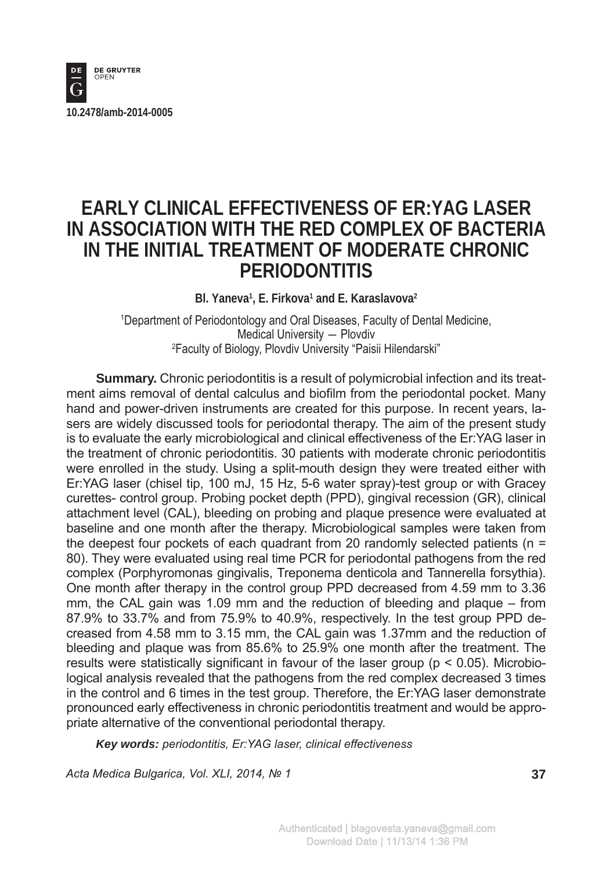

# **EARLY CLINICAL EFFECTIVENESS OF ER:YAG LASER IN ASSOCIATION WITH THE RED COMPLEX OF BACTERIA IN THE INITIAL TREATMENT OF MODERATE CHRONIC PERIODONTITIS**

Bl. Yaneva<sup>1</sup>, E. Firkova<sup>1</sup> and E. Karaslavova<sup>2</sup>

1 Department of Periodontology and Oral Diseases, Faculty of Dental Medicine, Medical University ― Plovdiv 2 Faculty of Biology, Plovdiv University "Paisii Hilendarski"

**Summary.** Chronic periodontitis is a result of polymicrobial infection and its treatment aims removal of dental calculus and biofilm from the periodontal pocket. Many hand and power-driven instruments are created for this purpose. In recent years, lasers are widely discussed tools for periodontal therapy. The aim of the present study is to evaluate the early microbiological and clinical effectiveness of the Er:YAG laser in the treatment of chronic periodontitis. 30 patients with moderate chronic periodontitis were enrolled in the study. Using a split-mouth design they were treated either with Er:YAG laser (chisel tip, 100 mJ, 15 Hz, 5-6 water spray)-test group or with Gracey curettes- control group. Probing pocket depth (PPD), gingival recession (GR), clinical attachment level (CAL), bleeding on probing and plaque presence were evaluated at baseline and one month after the therapy. Microbiological samples were taken from the deepest four pockets of each quadrant from 20 randomly selected patients ( $n =$ 80). They were evaluated using real time PCR for periodontal pathogens from the red complex (Porphyromonas gingivalis, Treponema denticola and Tannerella forsythia). One month after therapy in the control group PPD decreased from 4.59 mm to 3.36 mm, the CAL gain was 1.09 mm and the reduction of bleeding and plaque – from 87.9% to 33.7% and from 75.9% to 40.9%, respectively. In the test group PPD decreased from 4.58 mm to 3.15 mm, the CAL gain was 1.37mm and the reduction of bleeding and plaque was from 85.6% to 25.9% one month after the treatment. The results were statistically significant in favour of the laser group ( $p < 0.05$ ). Microbiological analysis revealed that the pathogens from the red complex decreased 3 times in the control and 6 times in the test group. Therefore, the Er:YAG laser demonstrate pronounced early effectiveness in chronic periodontitis treatment and would be appropriate alternative of the conventional periodontal therapy.

*Key words: periodontitis, Er:YAG laser, clinical effectiveness*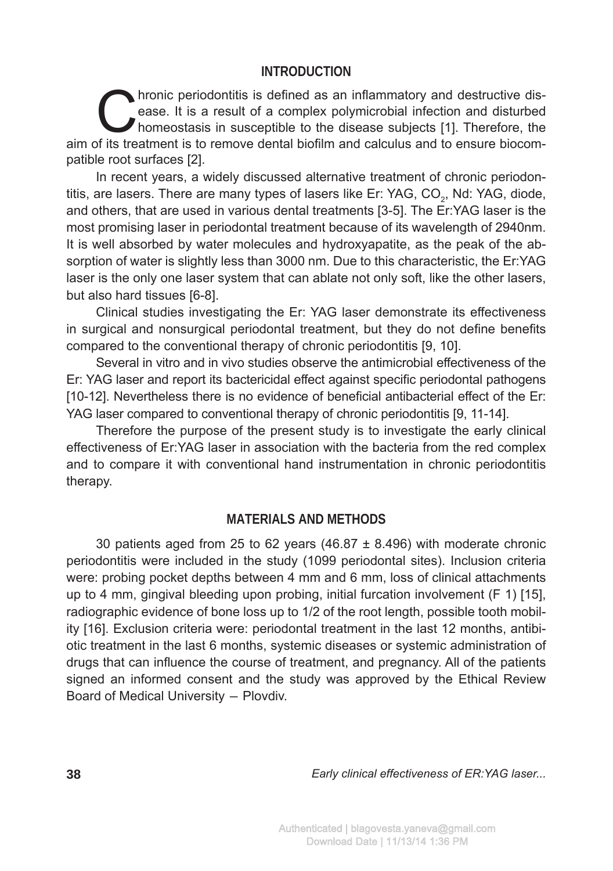### **INTRODUCTION**

hronic periodontitis is defined as an inflammatory and destructive dis-<br>ease. It is a result of a complex polymicrobial infection and disturbed<br>homeostasis in susceptible to the disease subjects [1]. Therefore, the<br>fits tr ease. It is a result of a complex polymicrobial infection and disturbed aim of its treatment is to remove dental biofilm and calculus and to ensure biocompatible root surfaces [2].

In recent years, a widely discussed alternative treatment of chronic periodontitis, are lasers. There are many types of lasers like Er: YAG, CO<sub>2</sub>, Nd: YAG, diode, and others, that are used in various dental treatments [3-5]. The Er:YAG laser is the most promising laser in periodontal treatment because of its wavelength of 2940nm. It is well absorbed by water molecules and hydroxyapatite, as the peak of the absorption of water is slightly less than 3000 nm. Due to this characteristic, the Er:YAG laser is the only one laser system that can ablate not only soft, like the other lasers, but also hard tissues [6-8].

Clinical studies investigating the Er: YAG laser demonstrate its effectiveness in surgical and nonsurgical periodontal treatment, but they do not define benefits compared to the conventional therapy of chronic periodontitis [9, 10].

Several in vitro and in vivo studies observe the antimicrobial effectiveness of the Er: YAG laser and report its bactericidal effect against specific periodontal pathogens [10-12]. Nevertheless there is no evidence of beneficial antibacterial effect of the Er: YAG laser compared to conventional therapy of chronic periodontitis [9, 11-14].

Therefore the purpose of the present study is to investigate the early clinical effectiveness of Er:YAG laser in association with the bacteria from the red complex and to compare it with conventional hand instrumentation in chronic periodontitis therapy.

## **MATERIALS AND METHODS**

30 patients aged from 25 to 62 years (46.87  $\pm$  8.496) with moderate chronic periodontitis were included in the study (1099 periodontal sites). Inclusion criteria were: probing pocket depths between 4 mm and 6 mm, loss of clinical attachments up to 4 mm, gingival bleeding upon probing, initial furcation involvement (F 1) [15], radiographic evidence of bone loss up to 1/2 of the root length, possible tooth mobility [16]. Exclusion criteria were: periodontal treatment in the last 12 months, antibiotic treatment in the last 6 months, systemic diseases or systemic administration of drugs that can influence the course of treatment, and pregnancy. All of the patients signed an informed consent and the study was approved by the Ethical Review Board of Medical University ― Plovdiv.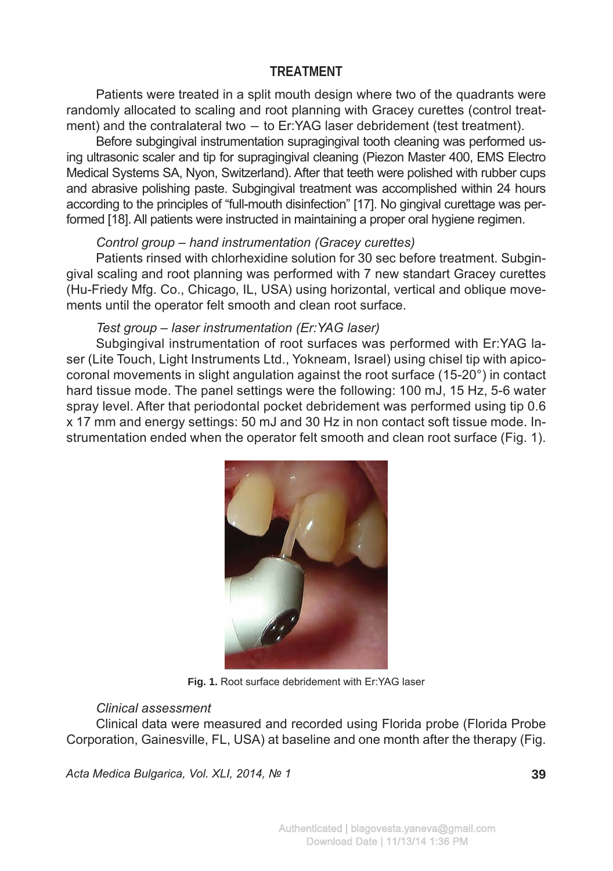## **TREATMENT**

Patients were treated in a split mouth design where two of the quadrants were randomly allocated to scaling and root planning with Gracey curettes (control treatment) and the contralateral two — to Er:YAG laser debridement (test treatment).

Before subgingival instrumentation supragingival tooth cleaning was performed using ultrasonic scaler and tip for supragingival cleaning (Piezon Master 400, EMS Electro Medical Systems SA, Nyon, Switzerland). After that teeth were polished with rubber cups and abrasive polishing paste. Subgingival treatment was accomplished within 24 hours according to the principles of "full-mouth disinfection" [17]. No gingival curettage was performed [18]. All patients were instructed in maintaining a proper oral hygiene regimen.

#### *Control group – hand instrumentation (Gracey curettes)*

Patients rinsed with chlorhexidine solution for 30 sec before treatment. Subgingival scaling and root planning was performed with 7 new standart Gracey curettes (Hu-Friedy Mfg. Co., Chicago, IL, USA) using horizontal, vertical and oblique movements until the operator felt smooth and clean root surface.

#### *Test group – laser instrumentation (Er:YAG laser)*

Subgingival instrumentation of root surfaces was performed with Er:YAG laser (Lite Touch, Light Instruments Ltd., Yokneam, Israel) using chisel tip with apicocoronal movements in slight angulation against the root surface (15-20°) in contact hard tissue mode. The panel settings were the following: 100 mJ, 15 Hz, 5-6 water spray level. After that periodontal pocket debridement was performed using tip 0.6 x 17 mm and energy settings: 50 mJ and 30 Hz in non contact soft tissue mode. Instrumentation ended when the operator felt smooth and clean root surface (Fig. 1).



**Fig. 1.** Root surface debridement with Er:YAG laser

#### *Clinical assessment*

Clinical data were measured and recorded using Florida probe (Florida Probe Corporation, Gainesville, FL, USA) at baseline and one month after the therapy (Fig.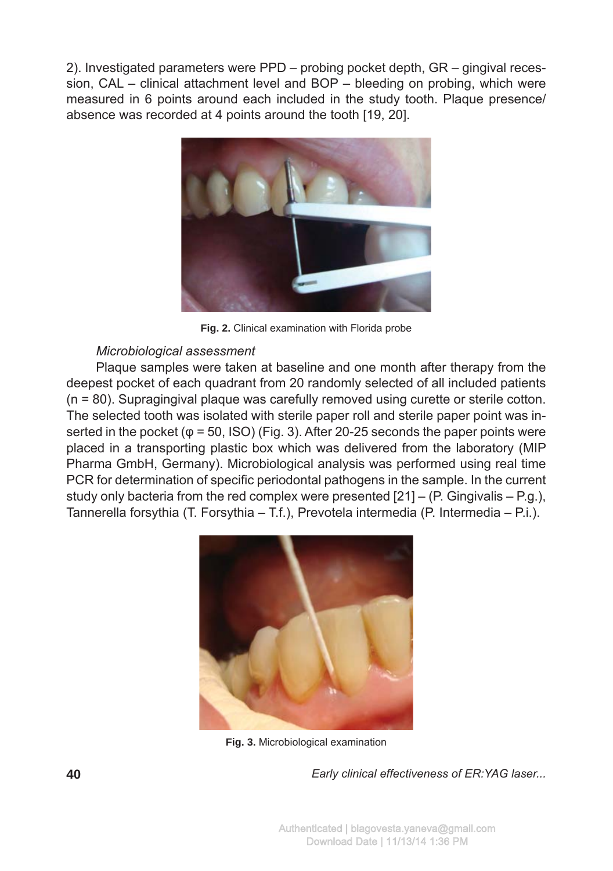2). Investigated parameters were PPD – probing pocket depth, GR – gingival recession, CAL – clinical attachment level and BOP – bleeding on probing, which were measured in 6 points around each included in the study tooth. Plaque presence/ absence was recorded at 4 points around the tooth [19, 20].



**Fig. 2.** Clinical examination with Florida probe

## *Microbiological assessment*

Plaque samples were taken at baseline and one month after therapy from the deepest pocket of each quadrant from 20 randomly selected of all included patients (n = 80). Supragingival plaque was carefully removed using curette or sterile cotton. The selected tooth was isolated with sterile paper roll and sterile paper point was inserted in the pocket ( $\varphi$  = 50, ISO) (Fig. 3). After 20-25 seconds the paper points were placed in a transporting plastic box which was delivered from the laboratory (MIP Pharma GmbH, Germany). Microbiological analysis was performed using real time PCR for determination of specific periodontal pathogens in the sample. In the current study only bacteria from the red complex were presented  $[21] - (P. Gingivalis - P.g.),$ Tannerella forsythia (T. Forsythia – T.f.), Prevotela intermedia (P. Intermedia – P.i.).



**Fig. 3.** Microbiological examination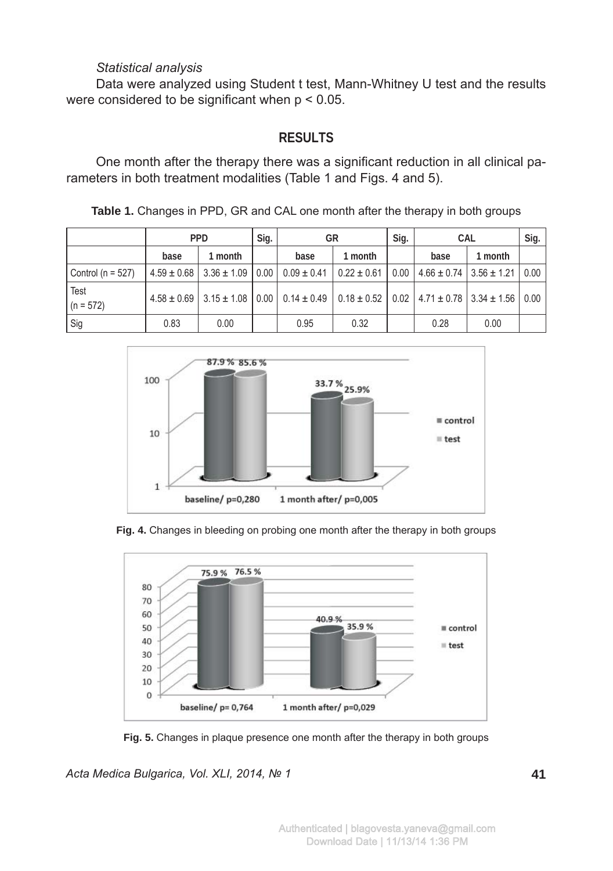## *Statistical analysis*

Data were analyzed using Student t test, Mann-Whitney U test and the results were considered to be significant when  $p < 0.05$ .

# **RESULTS**

One month after the therapy there was a significant reduction in all clinical parameters in both treatment modalities (Table 1 and Figs. 4 and 5).

| Table 1. Changes in PPD, GR and CAL one month after the therapy in both groups |  |  |  |
|--------------------------------------------------------------------------------|--|--|--|
|                                                                                |  |  |  |

|                       |      | <b>PPD</b>                               | Sig. |                                                                                                                                | GR              |      | CAL  |                                          | Sig. |
|-----------------------|------|------------------------------------------|------|--------------------------------------------------------------------------------------------------------------------------------|-----------------|------|------|------------------------------------------|------|
|                       | base | 1 month                                  |      | base                                                                                                                           | 1 month         |      | base | 1 month                                  |      |
| Control ( $n = 527$ ) |      | $4.59 \pm 0.68$   3.36 $\pm$ 1.09   0.00 |      | $0.09 \pm 0.41$                                                                                                                | $0.22 \pm 0.61$ | 0.00 |      | $4.66 \pm 0.74$   3.56 $\pm$ 1.21   0.00 |      |
| Test<br>$(n = 572)$   |      |                                          |      | $4.58 \pm 0.69$   3.15 $\pm$ 1.08   0.00   0.14 $\pm$ 0.49   0.18 $\pm$ 0.52   0.02   4.71 $\pm$ 0.78   3.34 $\pm$ 1.56   0.00 |                 |      |      |                                          |      |
| Sig                   | 0.83 | 0.00                                     |      | 0.95                                                                                                                           | 0.32            |      | 0.28 | 0.00                                     |      |



**Fig. 4.** Changes in bleeding on probing one month after the therapy in both groups



**Fig. 5.** Changes in plaque presence one month after the therapy in both groups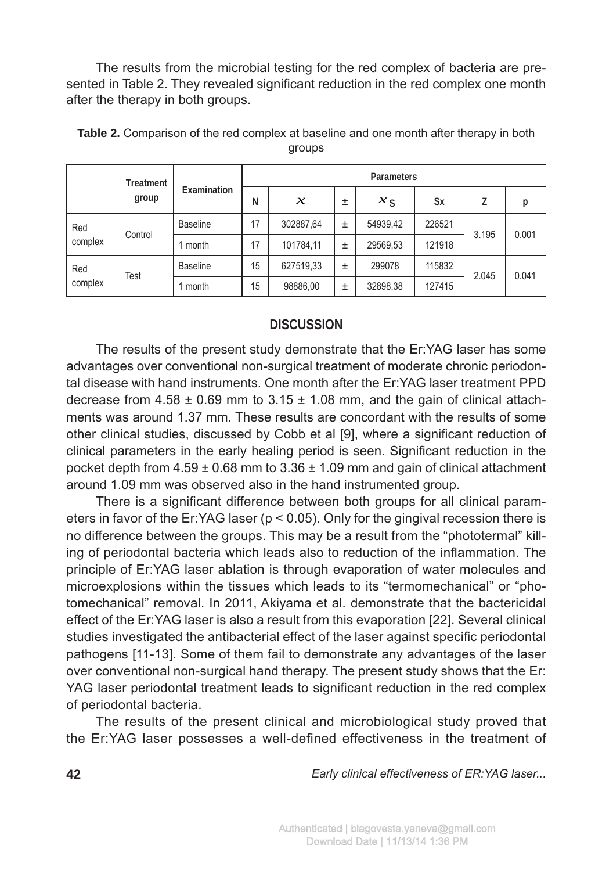The results from the microbial testing for the red complex of bacteria are presented in Table 2. They revealed significant reduction in the red complex one month after the therapy in both groups.

|                | Treatment<br>group | Examination     | Parameters |               |   |                             |           |       |       |  |  |
|----------------|--------------------|-----------------|------------|---------------|---|-----------------------------|-----------|-------|-------|--|--|
|                |                    |                 | N          | $\mathcal{X}$ | 土 | $\overline{x}_{\mathsf{S}}$ | <b>Sx</b> |       | р     |  |  |
| Red<br>complex | Control            | <b>Baseline</b> | 17         | 302887,64     | 士 | 54939,42                    | 226521    | 3.195 | 0.001 |  |  |
|                |                    | month           | 17         | 101784,11     | 士 | 29569,53                    | 121918    |       |       |  |  |
| Red<br>complex | Test               | <b>Baseline</b> | 15         | 627519,33     | ± | 299078                      | 115832    | 2.045 | 0.041 |  |  |
|                |                    | month           | 15         | 98886,00      | ± | 32898,38                    | 127415    |       |       |  |  |

**Table 2.** Comparison of the red complex at baseline and one month after therapy in both groups

## **DISCUSSION**

The results of the present study demonstrate that the Er:YAG laser has some advantages over conventional non-surgical treatment of moderate chronic periodontal disease with hand instruments. One month after the Er:YAG laser treatment PPD decrease from  $4.58 \pm 0.69$  mm to  $3.15 \pm 1.08$  mm, and the gain of clinical attachments was around 1.37 mm. These results are concordant with the results of some other clinical studies, discussed by Cobb et al [9], where a significant reduction of clinical parameters in the early healing period is seen. Significant reduction in the pocket depth from  $4.59 \pm 0.68$  mm to  $3.36 \pm 1.09$  mm and gain of clinical attachment around 1.09 mm was observed also in the hand instrumented group.

There is a significant difference between both groups for all clinical parameters in favor of the Er:YAG laser ( $p < 0.05$ ). Only for the gingival recession there is no difference between the groups. This may be a result from the "phototermal" killing of periodontal bacteria which leads also to reduction of the inflammation. The principle of Er:YAG laser ablation is through evaporation of water molecules and microexplosions within the tissues which leads to its "termomechanical" or "photomechanical" removal. In 2011, Akiyama et al. demonstrate that the bactericidal effect of the Er:YAG laser is also a result from this evaporation [22]. Several clinical studies investigated the antibacterial effect of the laser against specific periodontal pathogens [11-13]. Some of them fail to demonstrate any advantages of the laser over conventional non-surgical hand therapy. The present study shows that the Er: YAG laser periodontal treatment leads to significant reduction in the red complex of periodontal bacteria.

The results of the present clinical and microbiological study proved that the Er:YAG laser possesses a well-defined effectiveness in the treatment of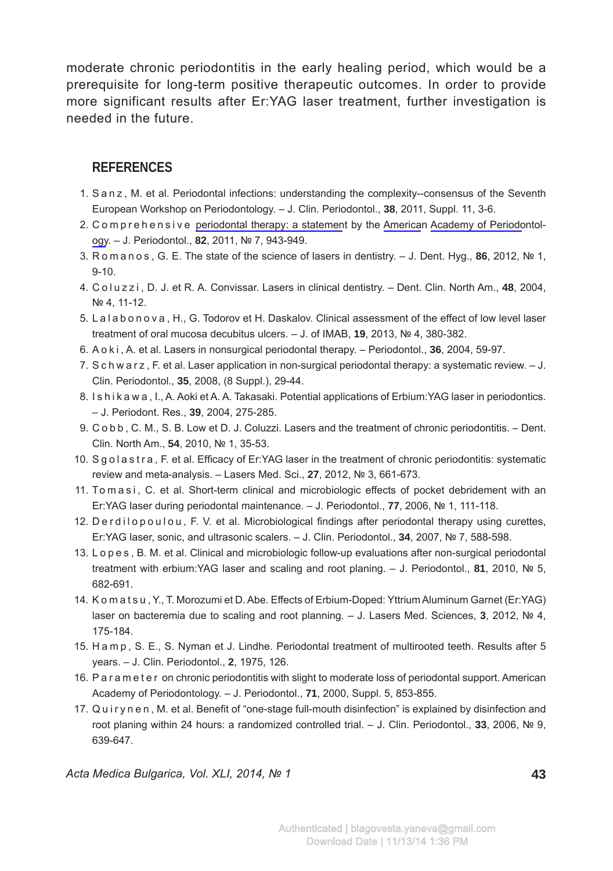moderate chronic periodontitis in the early healing period, which would be a prerequisite for long-term positive therapeutic outcomes. In order to provide more significant results after Er:YAG laser treatment, further investigation is needed in the future.

# **REFERENCES**

- 1. S a n z , M. et al. Periodontal infections: understanding the complexity--consensus of the Seventh European Workshop on Periodontology. – J. Clin. Periodontol., **38**, 2011, Suppl. 11, 3-6.
- 2. C o m p r e h e n s i v e periodontal therapy: a statement by the American Academy of Periodontology. – J. Periodontol., **82**, 2011, № 7, 943-949.
- 3. R o m a n o s , G. E. The state of the science of lasers in dentistry. J. Dent. Hyg., **86**, 2012, № 1, 9-10.
- 4. C o l u z z i , D. J. et R. A. Convissar. Lasers in clinical dentistry. Dent. Clin. North Am., **48**, 2004, № 4, 11-12.
- 5. L a l a b o n o v a , H., G. Todorov et H. Daskalov. Clinical assessment of the effect of low level laser treatment of oral mucosa decubitus ulcers. – J. of IMAB, **19**, 2013, № 4, 380-382.
- 6. A o k i , A. et al. Lasers in nonsurgical periodontal therapy. Periodontol., **36**, 2004, 59-97.
- 7. S c h w a r z, F. et al. Laser application in non-surgical periodontal therapy: a systematic review.  $-$  J. Clin. Periodontol., **35**, 2008, (8 Suppl.), 29-44.
- 8. I s h i k a w a , I., A. Aoki et A. A. Takasaki. Potential applications of Erbium:YAG laser in periodontics. – J. Periodont. Res., **39**, 2004, 275-285.
- 9. C o b b , C. M., S. B. Low et D. J. Coluzzi. Lasers and the treatment of chronic periodontitis. Dent. Clin. North Am., **54**, 2010, № 1, 35-53.
- 10. S g o l a s t r a, F. et al. Efficacy of Er:YAG laser in the treatment of chronic periodontitis: systematic review and meta-analysis. – Lasers Med. Sci., **27**, 2012, № 3, 661-673.
- 11. To m a s i, C. et al. Short-term clinical and microbiologic effects of pocket debridement with an Er:YAG laser during periodontal maintenance. – J. Periodontol., **77**, 2006, № 1, 111-118.
- 12. D e r d i l o p o u l o u , F. V. et al. Microbiological findings after periodontal therapy using curettes, Er:YAG laser, sonic, and ultrasonic scalers. – J. Clin. Periodontol., **34**, 2007, № 7, 588-598.
- 13. L o p e s , B. M. et al. Clinical and microbiologic follow-up evaluations after non-surgical periodontal treatment with erbium:YAG laser and scaling and root planing. – J. Periodontol., **81**, 2010, № 5, 682-691.
- 14. K o m a t s u , Y., T. Morozumi et D. Abe. Effects of Erbium-Doped: Yttrium Aluminum Garnet (Er:YAG) laser on bacteremia due to scaling and root planning. – J. Lasers Med. Sciences, **3**, 2012, № 4, 175-184.
- 15. H a m p , S. E., S. Nyman et J. Lindhe. Periodontal treatment of multirooted teeth. Results after 5 years. – J. Clin. Periodontol., **2**, 1975, 126.
- 16. P a r a m e t e r on chronic periodontitis with slight to moderate loss of periodontal support. American Academy of Periodontology. – J. Periodontol., **71**, 2000, Suppl. 5, 853-855.
- 17. Quirynen, M. et al. Benefit of "one-stage full-mouth disinfection" is explained by disinfection and root planing within 24 hours: a randomized controlled trial. – J. Clin. Periodontol., **33**, 2006, № 9, 639-647.